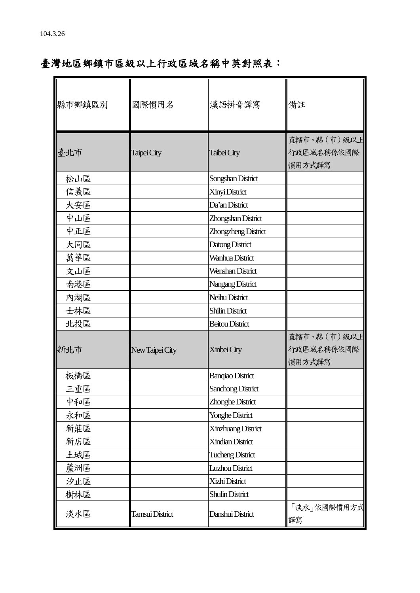## 臺灣地區鄉鎮市區級以上行政區域名稱中英對照表:

| 縣市鄉鎮區別 | 國際慣用名           | 漢語拼音譯寫                   | 備註                   |
|--------|-----------------|--------------------------|----------------------|
|        |                 |                          | 直轄市、縣 (市) 級以上        |
| 臺北市    | Taipei City     | Taibei City              | 行政區域名稱係依國際<br>慣用方式譯寫 |
| 松山區    |                 | Songshan District        |                      |
| 信義區    |                 | Xinyi District           |                      |
| 大安區    |                 | Da'an District           |                      |
| 中山區    |                 | Zhongshan District       |                      |
| 中正區    |                 | Zhongzheng District      |                      |
| 大同區    |                 | Datong District          |                      |
| 萬華區    |                 | Wanhua District          |                      |
| 文山區    |                 | Wenshan District         |                      |
| 南港區    |                 | Nangang District         |                      |
| 內湖區    |                 | Neihu District           |                      |
| 士林區    |                 | <b>Shilin District</b>   |                      |
| 北投區    |                 | <b>Beitou District</b>   |                      |
|        |                 |                          | 直轄市、縣 (市)級以上         |
| 新北市    | New Taipei City | Xinbei City              | 行政區域名稱係依國際           |
|        |                 |                          | 慣用方式譯寫               |
| 板橋區    |                 | <b>Banqiao District</b>  |                      |
| 三重區    |                 | <b>Sanchong District</b> |                      |
| 中和區    |                 | Zhonghe District         |                      |
| 永和區    |                 | <b>Yonghe District</b>   |                      |
| 新莊區    |                 | Xinzhuang District       |                      |
| 新店區    |                 | <b>Xindian District</b>  |                      |
| 土城區    |                 | <b>Tucheng District</b>  |                      |
| 蘆洲區    |                 | Luzhou District          |                      |
| 汐止區    |                 | Xizhi District           |                      |
| 樹林區    |                 | <b>Shulin District</b>   |                      |
| 淡水區    | Tamsui District | Danshui District         | 「淡水」依國際慣用方式<br>譯寫    |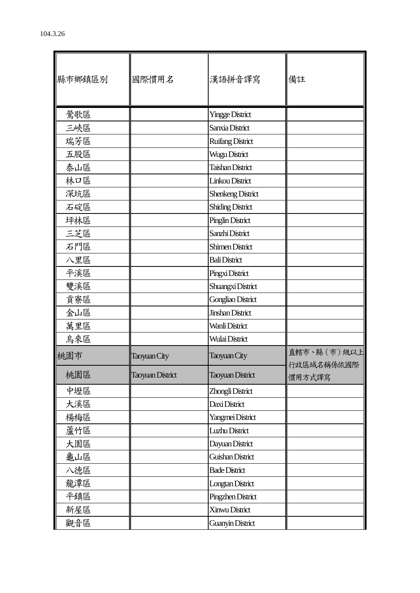| 縣市鄉鎮區別 | 國際慣用名                   | 漢語拼音譯寫                   | 備註                          |
|--------|-------------------------|--------------------------|-----------------------------|
| 鶯歌區    |                         | <b>Yingge District</b>   |                             |
| 三峽區    |                         | Sanxia District          |                             |
| 瑞芳區    |                         | <b>Ruifang District</b>  |                             |
| 五股區    |                         | Wugu District            |                             |
| 泰山區    |                         | <b>Taishan District</b>  |                             |
| 林口區    |                         | Linkou District          |                             |
| 深坑區    |                         | <b>Shenkeng District</b> |                             |
| 石碇區    |                         | <b>Shiding District</b>  |                             |
| 坪林區    |                         | <b>Pinglin District</b>  |                             |
| 三芝區    |                         | Sanzhi District          |                             |
| 石門區    |                         | <b>Shimen District</b>   |                             |
| 八里區    |                         | <b>Bali District</b>     |                             |
| 平溪區    |                         | Pingxi District          |                             |
| 雙溪區    |                         | Shuangxi District        |                             |
| 貢寮區    |                         | Gongliao District        |                             |
| 金山區    |                         | <b>Jinshan District</b>  |                             |
| 萬里區    |                         | Wanli District           |                             |
| 烏來區    |                         | Wulai District           |                             |
| 桃園市    | Taoyuan City            | Taoyuan City             | 直轄市、縣 (市) 級以上<br>行政區域名稱係依國際 |
| 桃園區    | <b>Taoyuan District</b> | <b>Taoyuan District</b>  | 慣用方式譯寫                      |
| 中壢區    |                         | Zhongli District         |                             |
| 大溪區    |                         | Daxi District            |                             |
| 楊梅區    |                         | Yangmei District         |                             |
| 蘆竹區    |                         | Luzhu District           |                             |
| 大園區    |                         | Dayuan District          |                             |
| 龜山區    |                         | Guishan District         |                             |
| 八德區    |                         | <b>Bade District</b>     |                             |
| 龍潭區    |                         | <b>Longtan District</b>  |                             |
| 平鎮區    |                         | Pingzhen District        |                             |
| 新屋區    |                         | Xinwu District           |                             |
| 觀音區    |                         | Guanyin District         |                             |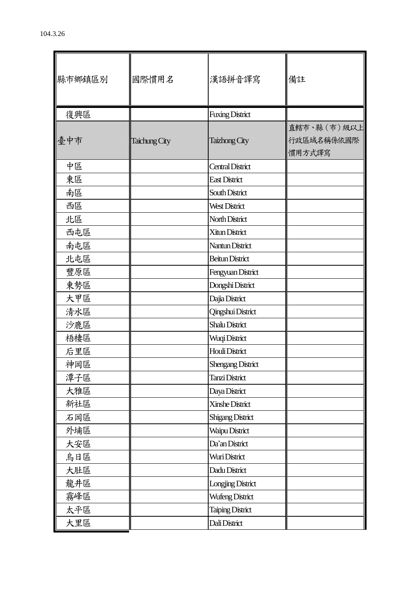| 縣市鄉鎮區別 | 國際慣用名         | 漢語拼音譯寫                   | 備註                                   |
|--------|---------------|--------------------------|--------------------------------------|
| 復興區    |               | <b>Fuxing District</b>   |                                      |
| 臺中市    | Taichung City | <b>Taizhong City</b>     | 直轄市、縣 (市)級以上<br>行政區域名稱係依國際<br>慣用方式譯寫 |
| 中區     |               | <b>Central District</b>  |                                      |
| 東區     |               | <b>East District</b>     |                                      |
| 南區     |               | South District           |                                      |
| 西區     |               | West District            |                                      |
| 北區     |               | North District           |                                      |
| 西屯區    |               | Xitun District           |                                      |
| 南屯區    |               | Nantun District          |                                      |
| 北屯區    |               | <b>Beitun District</b>   |                                      |
| 豐原區    |               | Fengyuan District        |                                      |
| 東勢區    |               | Dongshi District         |                                      |
| 大甲區    |               | Dajia District           |                                      |
| 清水區    |               | Qingshui District        |                                      |
| 沙鹿區    |               | <b>Shalu District</b>    |                                      |
| 梧棲區    |               | Wuqi District            |                                      |
| 后里區    |               | Houli District           |                                      |
| 神岡區    |               | <b>Shengang District</b> |                                      |
| 潭子區    |               | Tanzi District           |                                      |
| 大雅區    |               | Daya District            |                                      |
| 新社區    |               | Xinshe District          |                                      |
| 石岡區    |               | <b>Shigang District</b>  |                                      |
| 外埔區    |               | Waipu District           |                                      |
| 大安區    |               | Da'an District           |                                      |
| 烏日區    |               | Wuri District            |                                      |
| 大肚區    |               | Dadu District            |                                      |
| 龍井區    |               | Longjing District        |                                      |
| 霧峰區    |               | <b>Wufeng District</b>   |                                      |
| 太平區    |               | <b>Taiping District</b>  |                                      |
| 大里區    |               | Dali District            |                                      |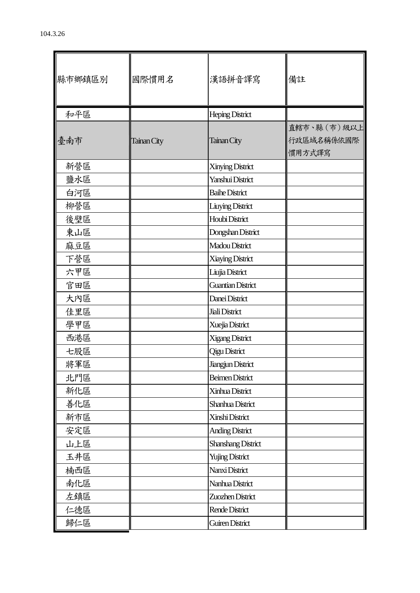| 縣市鄉鎮區別 | 國際慣用名       | 漢語拼音譯寫                    | 備註                                   |
|--------|-------------|---------------------------|--------------------------------------|
| 和平區    |             | <b>Heping District</b>    |                                      |
| 臺南市    | Tainan City | Tainan City               | 直轄市、縣 (市)級以上<br>行政區域名稱係依國際<br>慣用方式譯寫 |
| 新營區    |             | Xinying District          |                                      |
| 鹽水區    |             | Yanshui District          |                                      |
| 白河區    |             | <b>Baile District</b>     |                                      |
| 柳營區    |             | <b>Liuying District</b>   |                                      |
| 後壁區    |             | Houbi District            |                                      |
| 東山區    |             | Dongshan District         |                                      |
| 麻豆區    |             | Madou District            |                                      |
| 下營區    |             | Xiaying District          |                                      |
| 六甲區    |             | Liujia District           |                                      |
| 官田區    |             | <b>Guantian District</b>  |                                      |
| 大內區    |             | Danei District            |                                      |
| 佳里區    |             | Jiali District            |                                      |
| 學甲區    |             | Xuejia District           |                                      |
| 西港區    |             | <b>Xigang District</b>    |                                      |
| 七股區    |             | <b>Qigu District</b>      |                                      |
| 將軍區    |             | Jiangjun District         |                                      |
| 北門區    |             | <b>Beimen District</b>    |                                      |
| 新化區    |             | Xinhua District           |                                      |
| 善化區    |             | Shanhua District          |                                      |
| 新市區    |             | Xinshi District           |                                      |
| 安定區    |             | <b>Anding District</b>    |                                      |
| 山上區    |             | <b>Shanshang District</b> |                                      |
| 玉井區    |             | <b>Yujing District</b>    |                                      |
| 楠西區    |             | Nanxi District            |                                      |
| 南化區    |             | Nanhua District           |                                      |
| 左鎮區    |             | Zuozhen District          |                                      |
| 仁德區    |             | Rende District            |                                      |
| 歸仁區    |             | <b>Guiren District</b>    |                                      |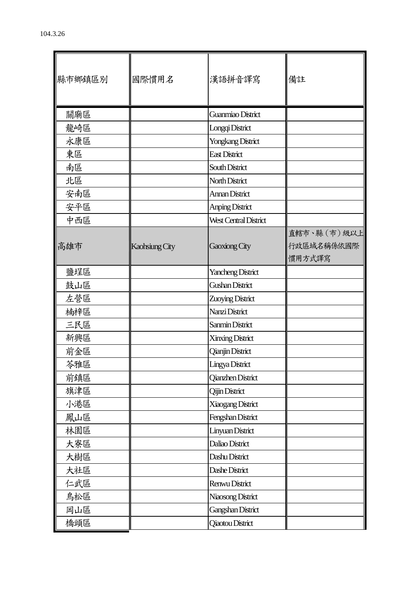| 縣市鄉鎮區別 | 國際慣用名          | 漢語拼音譯寫                   | 備註                                   |
|--------|----------------|--------------------------|--------------------------------------|
| 關廟區    |                | Guanmiao District        |                                      |
| 龍崎區    |                | Longqi District          |                                      |
| 永康區    |                | Yongkang District        |                                      |
| 東區     |                | <b>East District</b>     |                                      |
| 南區     |                | South District           |                                      |
| 北區     |                | North District           |                                      |
| 安南區    |                | <b>Annan District</b>    |                                      |
| 安平區    |                | <b>Anping District</b>   |                                      |
| 中西區    |                | West Central District    |                                      |
| 高雄市    | Kaohsiung City | Gaoxiong City            | 直轄市、縣 (市)級以上<br>行政區域名稱係依國際<br>慣用方式譯寫 |
| 鹽埕區    |                | <b>Yancheng District</b> |                                      |
| 鼓山區    |                | <b>Gushan District</b>   |                                      |
| 左營區    |                | Zuoying District         |                                      |
| 楠梓區    |                | Nanzi District           |                                      |
| 三民區    |                | Sanmin District          |                                      |
| 新興區    |                | <b>Xinxing District</b>  |                                      |
| 前金區    |                | <b>Qianjin District</b>  |                                      |
| 苓雅區    |                | Lingya District          |                                      |
| 前鎮區    |                | Qianzhen District        |                                      |
| 旗津區    |                | <b>Qijin District</b>    |                                      |
| 小港區    |                | Xiaogang District        |                                      |
| 鳳山區    |                | Fengshan District        |                                      |
| 林園區    |                | Linyuan District         |                                      |
| 大寮區    |                | Daliao District          |                                      |
| 大樹區    |                | Dashu District           |                                      |
| 大社區    |                | Dashe District           |                                      |
| 仁武區    |                | Renwu District           |                                      |
| 鳥松區    |                | Niaosong District        |                                      |
| 岡山區    |                | <b>Gangshan District</b> |                                      |
| 橋頭區    |                | <b>Qiaotou District</b>  |                                      |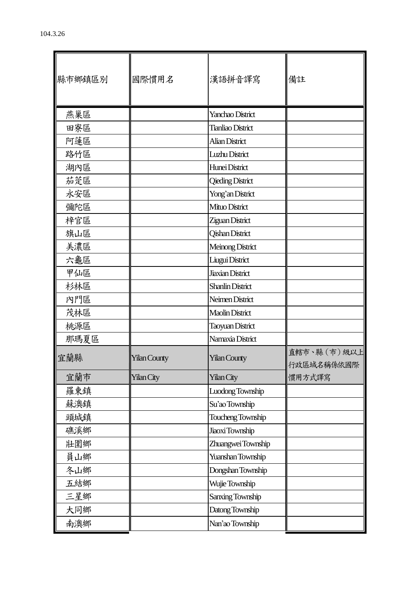| 縣市鄉鎮區別 | 國際慣用名               | 漢語拼音譯寫                   | 備註                         |
|--------|---------------------|--------------------------|----------------------------|
|        |                     |                          |                            |
| 燕巢區    |                     | Yanchao District         |                            |
| 田寮區    |                     | <b>Tianliao District</b> |                            |
| 阿蓮區    |                     | <b>Alian District</b>    |                            |
| 路竹區    |                     | Luzhu District           |                            |
| 湖內區    |                     | Hunei District           |                            |
| 茄萣區    |                     | <b>Qieding District</b>  |                            |
| 永安區    |                     | Yong'an District         |                            |
| 彌陀區    |                     | Mituo District           |                            |
| 梓官區    |                     | Ziguan District          |                            |
| 旗山區    |                     | <b>Qishan District</b>   |                            |
| 美濃區    |                     | Meinong District         |                            |
| 六龜區    |                     | Liugui District          |                            |
| 甲仙區    |                     | <b>Jiaxian District</b>  |                            |
| 杉林區    |                     | <b>Shanlin District</b>  |                            |
| 內門區    |                     | Neimen District          |                            |
| 茂林區    |                     | <b>Maolin District</b>   |                            |
| 桃源區    |                     | <b>Taoyuan District</b>  |                            |
| 那瑪夏區   |                     | Namaxia District         |                            |
| 宜蘭縣    | <b>Yilan County</b> | <b>Yilan County</b>      | 直轄市、縣 (市)級以上<br>行政區域名稱係依國際 |
| 宜蘭市    | <b>Yilan City</b>   | <b>Yilan City</b>        | 慣用方式譯寫                     |
| 羅東鎮    |                     | Luodong Township         |                            |
| 蘇澳鎮    |                     | Su'ao Township           |                            |
| 頭城鎮    |                     | Toucheng Township        |                            |
| 礁溪鄉    |                     | Jiaoxi Township          |                            |
| 壯圍鄉    |                     | Zhuangwei Township       |                            |
| 員山鄉    |                     | Yuanshan Township        |                            |
| 冬山鄉    |                     | Dongshan Township        |                            |
| 五結鄉    |                     | Wujie Township           |                            |
| 三星鄉    |                     | Sanxing Township         |                            |
| 大同鄉    |                     | Datong Township          |                            |
| 南澳鄉    |                     | Nan'ao Township          |                            |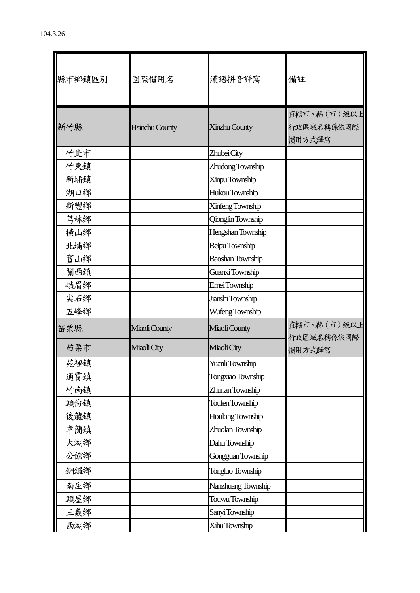| 縣市鄉鎮區別 | 國際慣用名                 | 漢語拼音譯寫                   | 備註                                    |
|--------|-----------------------|--------------------------|---------------------------------------|
| 新竹縣    | <b>Hsinchu County</b> | Xinzhu County            | 直轄市、縣 (市) 級以上<br>行政區域名稱係依國際<br>慣用方式譯寫 |
| 竹北市    |                       | Zhubei City              |                                       |
| 竹東鎮    |                       | Zhudong Township         |                                       |
| 新埔鎮    |                       | Xinpu Township           |                                       |
| 湖口鄉    |                       | Hukou Township           |                                       |
| 新豐鄉    |                       | Xinfeng Township         |                                       |
| 芎林鄉    |                       | <b>Qionglin Township</b> |                                       |
| 橫山鄉    |                       | Hengshan Township        |                                       |
| 北埔鄉    |                       | Beipu Township           |                                       |
| 寶山鄉    |                       | <b>Baoshan Township</b>  |                                       |
| 關西鎮    |                       | Guanxi Township          |                                       |
| 峨眉鄉    |                       | Emei Township            |                                       |
| 尖石鄉    |                       | Jianshi Township         |                                       |
| 五峰鄉    |                       | Wufeng Township          |                                       |
| 苗栗縣    | Miaoli County         | Miaoli County            | 直轄市、縣 (市)級以上<br>行政區域名稱係依國際            |
| 苗栗市    | Miaoli City           | Miaoli City              | 慣用方式譯寫                                |
| 苑裡鎮    |                       | Yuanli Township          |                                       |
| 通霄鎮    |                       | Tongxiao Township        |                                       |
| 竹南鎮    |                       | Zhunan Township          |                                       |
| 頭份鎮    |                       | Toufen Township          |                                       |
| 後龍鎮    |                       | Houlong Township         |                                       |
| 卓蘭鎮    |                       | Zhuolan Township         |                                       |
| 大湖鄉    |                       | Dahu Township            |                                       |
| 公館鄉    |                       | Gongguan Township        |                                       |
| 銅鑼鄉    |                       | Tongluo Township         |                                       |
| 南庄鄉    |                       | Nanzhuang Township       |                                       |
| 頭屋鄉    |                       | Touwu Township           |                                       |
| 三義鄉    |                       | Sanyi Township           |                                       |
| 西湖鄉    |                       | Xihu Township            |                                       |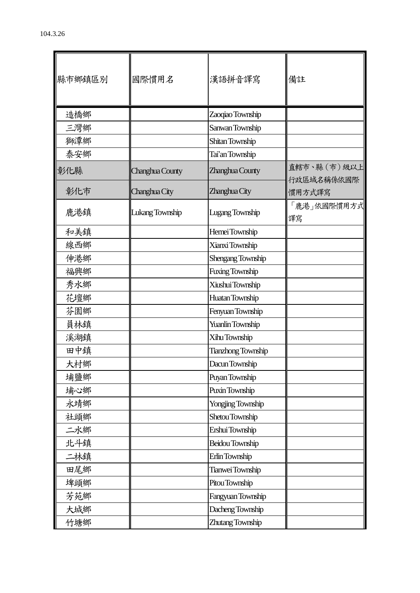| 縣市鄉鎮區別 | 國際慣用名           | 漢語拼音譯寫                    | 備註                        |
|--------|-----------------|---------------------------|---------------------------|
| 造橋鄉    |                 | Zaoqiao Township          |                           |
| 三灣鄉    |                 | Sanwan Township           |                           |
| 獅潭鄉    |                 | Shitan Township           |                           |
| 泰安鄉    |                 | Tai'an Township           |                           |
| 彰化縣    | Changhua County | Zhanghua County           | 直轄市、縣(市)級以上<br>行政區域名稱係依國際 |
| 彰化市    | Changhua City   | Zhanghua City             | 慣用方式譯寫                    |
| 鹿港鎮    | Lukang Township | <b>Lugang Township</b>    | 「鹿港」依國際慣用方式<br>譯寫         |
| 和美鎮    |                 | Hemei Township            |                           |
| 線西鄉    |                 | Xianxi Township           |                           |
| 伸港鄉    |                 | Shengang Township         |                           |
| 福興鄉    |                 | Fuxing Township           |                           |
| 秀水鄉    |                 | Xiushui Township          |                           |
| 花壇鄉    |                 | Huatan Township           |                           |
| 芬園鄉    |                 | Fenyuan Township          |                           |
| 員林鎮    |                 | <b>Yuanlin Township</b>   |                           |
| 溪湖鎮    |                 | Xihu Township             |                           |
| 田中鎮    |                 | <b>Tianzhong Township</b> |                           |
| 大村鄉    |                 | Dacun Township            |                           |
| 埔鹽鄉    |                 | Puyan Township            |                           |
| 埔心鄉    |                 | Puxin Township            |                           |
| 永靖鄉    |                 | Yongjing Township         |                           |
| 社頭鄉    |                 | Shetou Township           |                           |
| 二水鄉    |                 | Ershui Township           |                           |
| 北斗鎮    |                 | Beidou Township           |                           |
| 二林鎮    |                 | Erlin Township            |                           |
| 田尾鄉    |                 | Tianwei Township          |                           |
| 埤頭鄉    |                 | Pitou Township            |                           |
| 芳苑鄉    |                 | Fangyuan Township         |                           |
| 大城鄉    |                 | Dacheng Township          |                           |
| 竹塘鄉    |                 | Zhutang Township          |                           |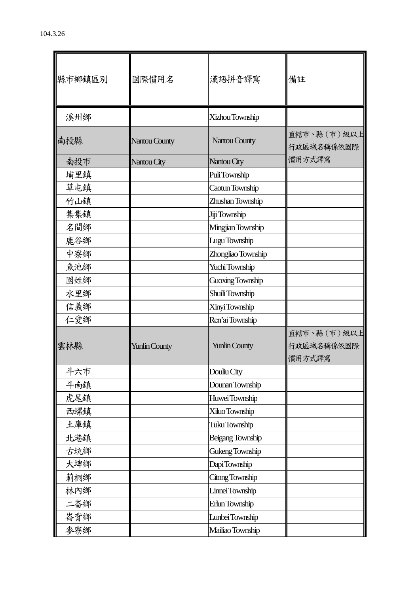| 縣市鄉鎮區別 | 國際慣用名                | 漢語拼音譯寫               | 備註                                  |
|--------|----------------------|----------------------|-------------------------------------|
| 溪州鄉    |                      | Xizhou Township      |                                     |
| 南投縣    | Nantou County        | Nantou County        | 直轄市、縣(市)級以上<br>行政區域名稱係依國際           |
| 南投市    | Nantou City          | Nantou City          | 慣用方式譯寫                              |
| 埔里鎮    |                      | Puli Township        |                                     |
| 草屯鎮    |                      | Caotun Township      |                                     |
| 竹山鎮    |                      | Zhushan Township     |                                     |
| 集集鎮    |                      | Jiji Township        |                                     |
| 名間鄉    |                      | Mingjian Township    |                                     |
| 鹿谷鄉    |                      | Lugu Township        |                                     |
| 中寮鄉    |                      | Zhongliao Township   |                                     |
| 魚池鄉    |                      | Yuchi Township       |                                     |
| 國姓鄉    |                      | Guoxing Township     |                                     |
| 水里鄉    |                      | Shuili Township      |                                     |
| 信義鄉    |                      | Xinyi Township       |                                     |
| 仁愛鄉    |                      | Ren'ai Township      |                                     |
| 雲林縣    | <b>Yunlin County</b> | <b>Yunlin County</b> | 直轄市、縣(市)級以上<br>行政區域名稱係依國際<br>慣用方式譯寫 |
| 斗六市    |                      | Douliu City          |                                     |
| 斗南鎮    |                      | Dounan Township      |                                     |
| 虎尾鎮    |                      | Huwei Township       |                                     |
| 西螺鎮    |                      | Xiluo Township       |                                     |
| 土庫鎮    |                      | Tuku Township        |                                     |
| 北港鎮    |                      | Beigang Township     |                                     |
| 古坑鄉    |                      | Gukeng Township      |                                     |
| 大埤鄉    |                      | Dapi Township        |                                     |
| 莿桐鄉    |                      | Citong Township      |                                     |
| 林内鄉    |                      | Linnei Township      |                                     |
| 二崙鄉    |                      | Erlun Township       |                                     |
| 崙背鄉    |                      | Lunbei Township      |                                     |
| 麥寮鄉    |                      | Mailiao Township     |                                     |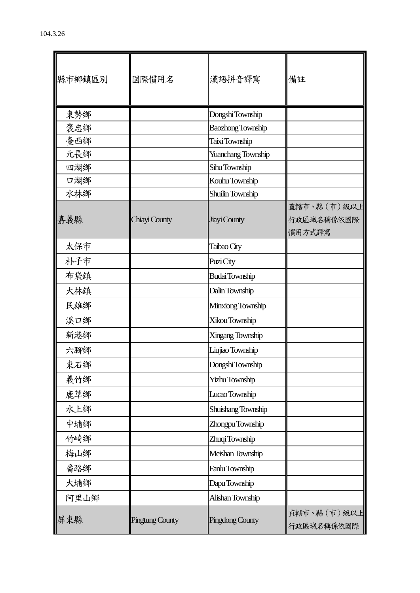| 縣市鄉鎮區別 | 國際慣用名                  | 漢語拼音譯寫                   | 備註                                  |
|--------|------------------------|--------------------------|-------------------------------------|
| 東勢鄉    |                        | Dongshi Township         |                                     |
| 褒忠鄉    |                        | <b>Baozhong Township</b> |                                     |
| 臺西鄉    |                        | Taixi Township           |                                     |
| 元長鄉    |                        | Yuanchang Township       |                                     |
| 四湖鄉    |                        | Sihu Township            |                                     |
| 口湖鄉    |                        | Kouhu Township           |                                     |
| 水林鄉    |                        | Shuilin Township         |                                     |
| 嘉義縣    | Chiayi County          | Jiayi County             | 直轄市、縣(市)級以上<br>行政區域名稱係依國際<br>慣用方式譯寫 |
| 太保市    |                        | Taibao City              |                                     |
| 朴子市    |                        | Puzi City                |                                     |
| 布袋鎮    |                        | <b>Budai</b> Township    |                                     |
| 大林鎮    |                        | Dalin Township           |                                     |
| 民雄鄉    |                        | Minxiong Township        |                                     |
| 溪口鄉    |                        | Xikou Township           |                                     |
| 新港鄉    |                        | Xingang Township         |                                     |
| 六腳鄉    |                        | Liujiao Township         |                                     |
| 東石鄉    |                        | Dongshi Township         |                                     |
| 義竹鄉    |                        | Yizhu Township           |                                     |
| 鹿草鄉    |                        | Lucao Township           |                                     |
| 水上鄉    |                        | Shuishang Township       |                                     |
| 中埔鄉    |                        | Zhongpu Township         |                                     |
| 竹崎鄉    |                        | Zhuqi Township           |                                     |
| 梅山鄉    |                        | Meishan Township         |                                     |
| 番路鄉    |                        | Fanlu Township           |                                     |
| 大埔鄉    |                        | Dapu Township            |                                     |
| 阿里山鄉   |                        | Alishan Township         |                                     |
| 屏東縣    | <b>Pingtung County</b> | Pingdong County          | 直轄市、縣 (市)級以上<br>行政區域名稱係依國際          |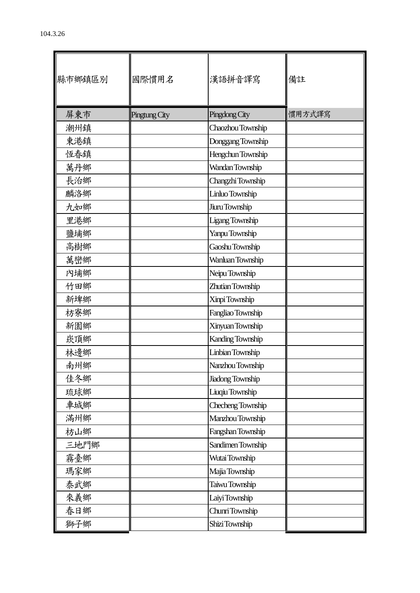| 縣市鄉鎮區別 | 國際慣用名         | 漢語拼音譯寫                  | 備註     |
|--------|---------------|-------------------------|--------|
| 屏東市    | Pingtung City | Pingdong City           | 慣用方式譯寫 |
| 潮州鎮    |               | Chaozhou Township       |        |
| 東港鎮    |               | Donggang Township       |        |
| 恆春鎮    |               | Hengchun Township       |        |
| 萬丹鄉    |               | Wandan Township         |        |
| 長治鄉    |               | Changzhi Township       |        |
| 麟洛鄉    |               | Linluo Township         |        |
| 九如鄉    |               | Jiuru Township          |        |
| 里港鄉    |               | Ligang Township         |        |
| 鹽埔鄉    |               | Yanpu Township          |        |
| 高樹鄉    |               | Gaoshu Township         |        |
| 萬巒鄉    |               | Wanluan Township        |        |
| 內埔鄉    |               | Neipu Township          |        |
| 竹田鄉    |               | Zhutian Township        |        |
| 新埤鄉    |               | Xinpi Township          |        |
| 枋寮鄉    |               | Fangliao Township       |        |
| 新園鄉    |               | Xinyuan Township        |        |
| 崁頂鄉    |               | Kanding Township        |        |
| 林邊鄉    |               | Linbian Township        |        |
| 南州鄉    |               | Nanzhou Township        |        |
| 佳冬鄉    |               | <b>Jiadong Township</b> |        |
| 琉球鄉    |               | Liuqiu Township         |        |
| 車城鄉    |               | Checheng Township       |        |
| 滿州鄉    |               | Manzhou Township        |        |
| 枋山鄉    |               | Fangshan Township       |        |
| 三地門鄉   |               | Sandimen Township       |        |
| 霧臺鄉    |               | Wutai Township          |        |
| 瑪家鄉    |               | Majia Township          |        |
| 泰武鄉    |               | Taiwu Township          |        |
| 來義鄉    |               | Laiyi Township          |        |
| 春日鄉    |               | Chunri Township         |        |
| 獅子鄉    |               | Shizi Township          |        |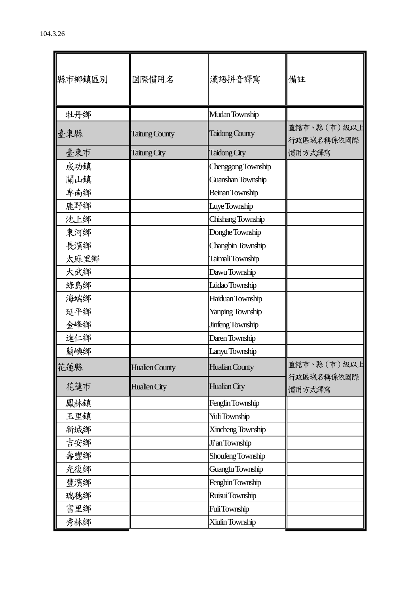| 縣市鄉鎮區別 | 國際慣用名                 | 漢語拼音譯寫                | 備註                          |
|--------|-----------------------|-----------------------|-----------------------------|
| 牡丹鄉    |                       | Mudan Township        |                             |
| 臺東縣    | <b>Taitung County</b> | <b>Taidong County</b> | 直轄市、縣 (市) 級以上<br>行政區域名稱係依國際 |
| 臺東市    | Taitung City          | Taidong City          | 慣用方式譯寫                      |
| 成功鎮    |                       | Chenggong Township    |                             |
| 關山鎮    |                       | Guanshan Township     |                             |
| 卑南鄉    |                       | Beinan Township       |                             |
| 鹿野鄉    |                       | Luye Township         |                             |
| 池上鄉    |                       | Chishang Township     |                             |
| 東河鄉    |                       | Donghe Township       |                             |
| 長濱鄉    |                       | Changbin Township     |                             |
| 太麻里鄉   |                       | Taimali Township      |                             |
| 大武鄉    |                       | Dawu Township         |                             |
| 綠島鄉    |                       | Lüdao Township        |                             |
| 海端鄉    |                       | Haiduan Township      |                             |
| 延平鄉    |                       | Yanping Township      |                             |
| 金峰鄉    |                       | Jinfeng Township      |                             |
| 達仁鄉    |                       | Daren Township        |                             |
| 蘭嶼鄉    |                       | Lanyu Township        |                             |
| 花蓮縣    | <b>Hualien County</b> | <b>Hualian County</b> | 直轄市、縣 (市)級以上                |
| 花蓮市    | Hualien City          | Hualian City          | 行政區域名稱係依國際<br>慣用方式譯寫        |
| 鳳林鎮    |                       | Fenglin Township      |                             |
| 玉里鎮    |                       | Yuli Township         |                             |
| 新城鄉    |                       | Xincheng Township     |                             |
| 吉安鄉    |                       | Ji'an Township        |                             |
| 壽豐鄉    |                       | Shoufeng Township     |                             |
| 光復鄉    |                       | Guangfu Township      |                             |
| 豐濱鄉    |                       | Fengbin Township      |                             |
| 瑞穗鄉    |                       | Ruisui Township       |                             |
| 富里鄉    |                       | FuliTownship          |                             |
| 秀林鄉    |                       | Xiulin Township       |                             |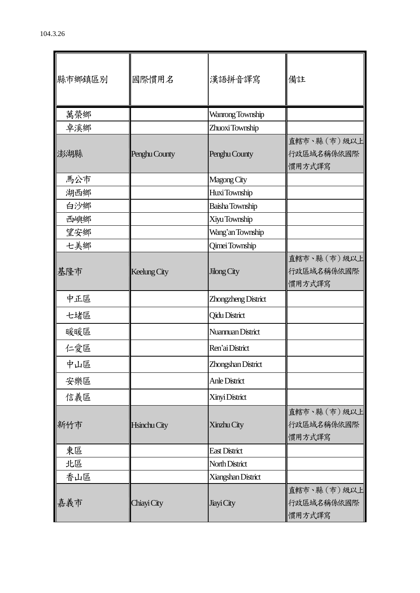| 縣市鄉鎮區別 | 國際慣用名         | 漢語拼音譯寫               | 備註                                    |
|--------|---------------|----------------------|---------------------------------------|
| 萬榮鄉    |               | Wanrong Township     |                                       |
| 卓溪鄉    |               | Zhuoxi Township      |                                       |
| 澎湖縣    | Penghu County | Penghu County        | 直轄市、縣 (市) 級以上<br>行政區域名稱係依國際<br>慣用方式譯寫 |
| 馬公市    |               | Magong City          |                                       |
| 湖西鄉    |               | Huxi Township        |                                       |
| 白沙鄉    |               | Baisha Township      |                                       |
| 西嶼鄉    |               | Xiyu Township        |                                       |
| 望安鄉    |               | Wang'an Township     |                                       |
| 七美鄉    |               | Qimei Township       |                                       |
| 基隆市    | Keelung City  | Jilong City          | 直轄市、縣 (市)級以上<br>行政區域名稱係依國際<br>慣用方式譯寫  |
| 中正區    |               | Zhongzheng District  |                                       |
| 七堵區    |               | <b>Qidu District</b> |                                       |
| 暖暖區    |               | Nuannuan District    |                                       |
| 仁愛區    |               | Ren'ai District      |                                       |
| 中山區    |               | Zhongshan District   |                                       |
| 安樂區    |               | Anle District        |                                       |
| 信義區    |               | Xinyi District       |                                       |
| 新竹市    | Hsinchu City  | Xinzhu City          | 直轄市、縣 (市)級以上<br>行政區域名稱係依國際<br>慣用方式譯寫  |
| 東區     |               | <b>East District</b> |                                       |
| 北區     |               | North District       |                                       |
| 香山區    |               | Xiangshan District   |                                       |
| 嘉義市    | Chiayi City   | Jiayi City           | 直轄市、縣 (市) 級以上<br>行政區域名稱係依國際<br>慣用方式譯寫 |